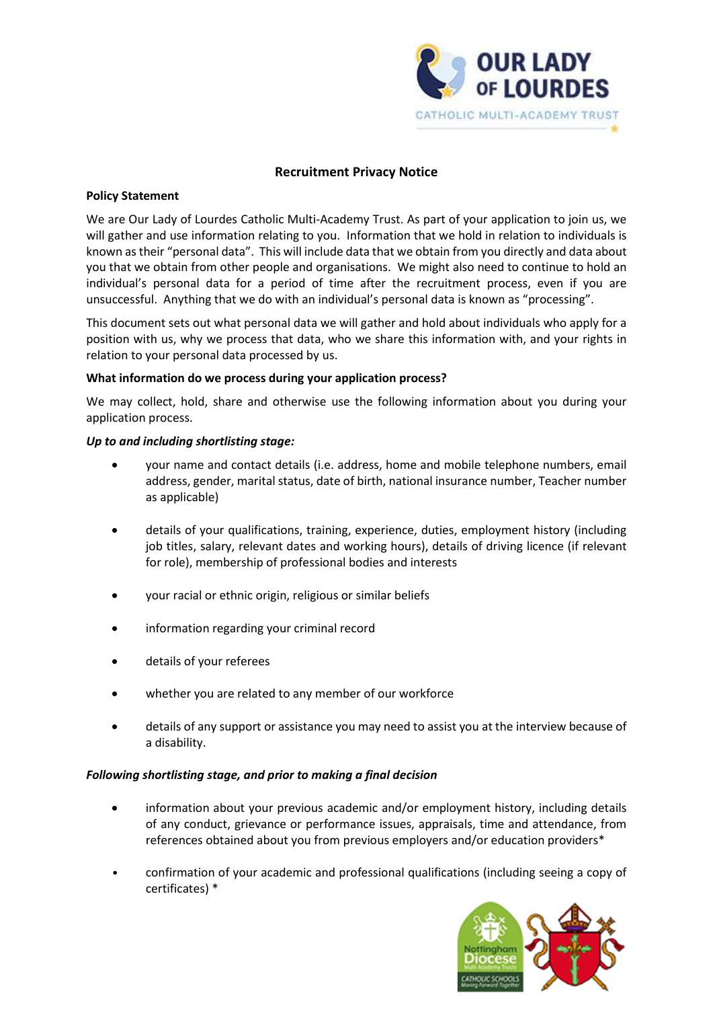

# Recruitment Privacy Notice

### Policy Statement

We are Our Lady of Lourdes Catholic Multi-Academy Trust. As part of your application to join us, we will gather and use information relating to you. Information that we hold in relation to individuals is known as their "personal data". This will include data that we obtain from you directly and data about you that we obtain from other people and organisations. We might also need to continue to hold an individual's personal data for a period of time after the recruitment process, even if you are unsuccessful. Anything that we do with an individual's personal data is known as "processing".

This document sets out what personal data we will gather and hold about individuals who apply for a position with us, why we process that data, who we share this information with, and your rights in relation to your personal data processed by us.

#### What information do we process during your application process?

We may collect, hold, share and otherwise use the following information about you during your application process.

#### Up to and including shortlisting stage:

- your name and contact details (i.e. address, home and mobile telephone numbers, email address, gender, marital status, date of birth, national insurance number, Teacher number as applicable)
- details of your qualifications, training, experience, duties, employment history (including job titles, salary, relevant dates and working hours), details of driving licence (if relevant for role), membership of professional bodies and interests
- your racial or ethnic origin, religious or similar beliefs
- information regarding your criminal record
- details of your referees
- whether you are related to any member of our workforce
- details of any support or assistance you may need to assist you at the interview because of a disability.

### Following shortlisting stage, and prior to making a final decision

- information about your previous academic and/or employment history, including details of any conduct, grievance or performance issues, appraisals, time and attendance, from references obtained about you from previous employers and/or education providers\*
- confirmation of your academic and professional qualifications (including seeing a copy of certificates) \*

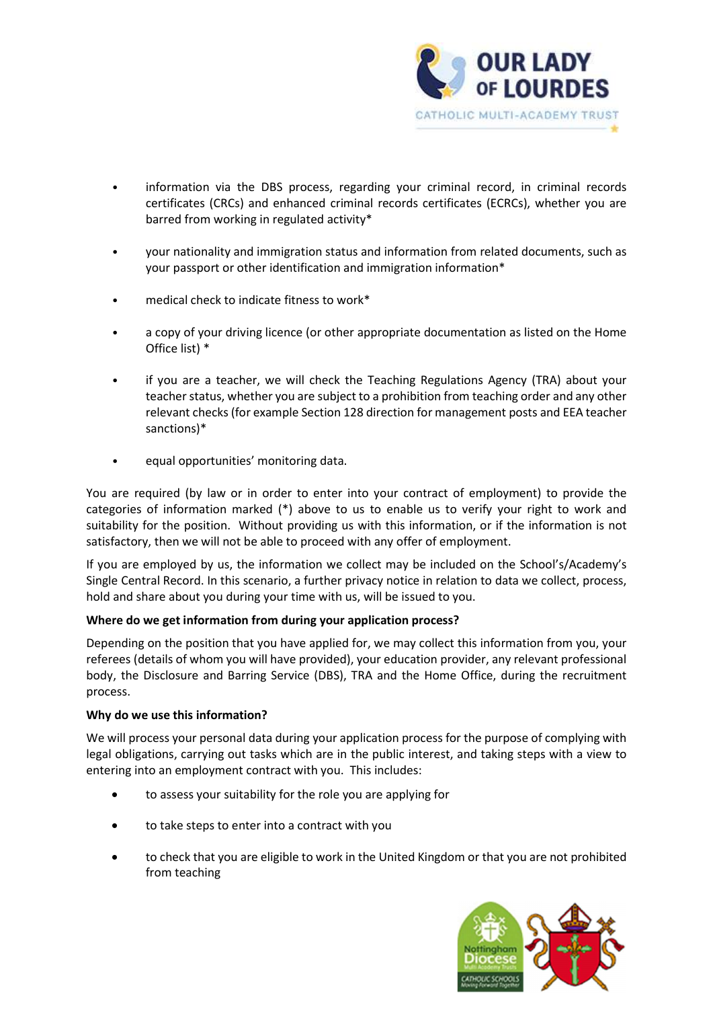

- information via the DBS process, regarding your criminal record, in criminal records certificates (CRCs) and enhanced criminal records certificates (ECRCs), whether you are barred from working in regulated activity\*
- your nationality and immigration status and information from related documents, such as your passport or other identification and immigration information\*
- medical check to indicate fitness to work\*
- a copy of your driving licence (or other appropriate documentation as listed on the Home Office list) \*
- if you are a teacher, we will check the Teaching Regulations Agency (TRA) about your teacher status, whether you are subject to a prohibition from teaching order and any other relevant checks (for example Section 128 direction for management posts and EEA teacher sanctions)\*
- equal opportunities' monitoring data.

You are required (by law or in order to enter into your contract of employment) to provide the categories of information marked (\*) above to us to enable us to verify your right to work and suitability for the position. Without providing us with this information, or if the information is not satisfactory, then we will not be able to proceed with any offer of employment.

If you are employed by us, the information we collect may be included on the School's/Academy's Single Central Record. In this scenario, a further privacy notice in relation to data we collect, process, hold and share about you during your time with us, will be issued to you.

# Where do we get information from during your application process?

Depending on the position that you have applied for, we may collect this information from you, your referees (details of whom you will have provided), your education provider, any relevant professional body, the Disclosure and Barring Service (DBS), TRA and the Home Office, during the recruitment process.

### Why do we use this information?

We will process your personal data during your application process for the purpose of complying with legal obligations, carrying out tasks which are in the public interest, and taking steps with a view to entering into an employment contract with you. This includes:

- to assess your suitability for the role you are applying for
- to take steps to enter into a contract with you
- to check that you are eligible to work in the United Kingdom or that you are not prohibited from teaching

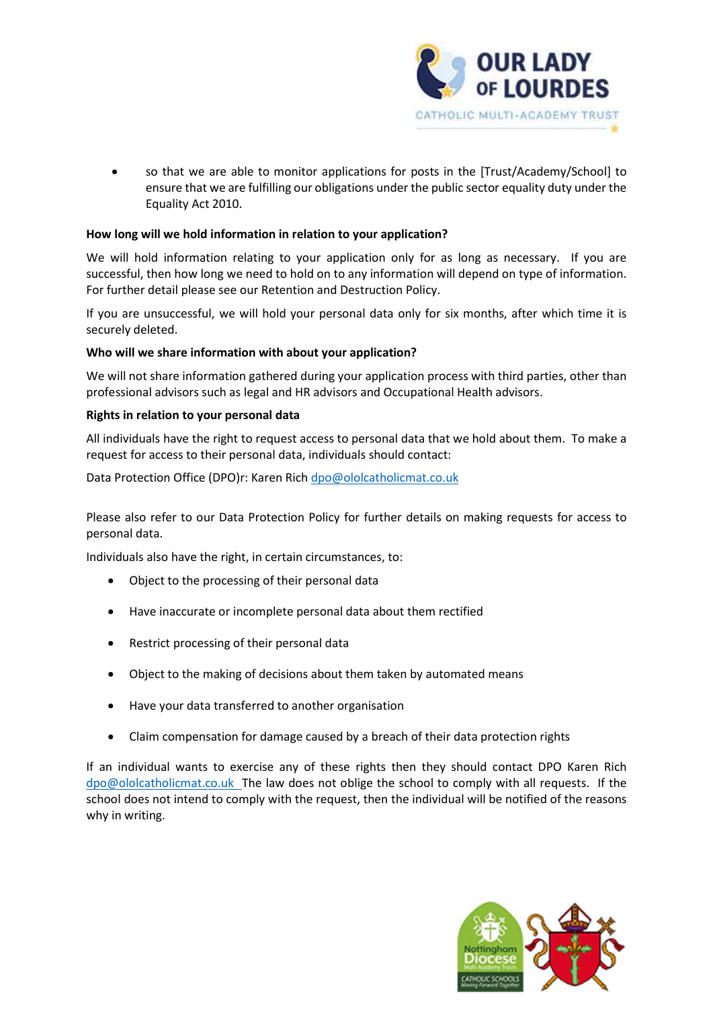

 so that we are able to monitor applications for posts in the [Trust/Academy/School] to ensure that we are fulfilling our obligations under the public sector equality duty under the Equality Act 2010.

# How long will we hold information in relation to your application?

We will hold information relating to your application only for as long as necessary. If you are successful, then how long we need to hold on to any information will depend on type of information. For further detail please see our Retention and Destruction Policy.

If you are unsuccessful, we will hold your personal data only for six months, after which time it is securely deleted.

### Who will we share information with about your application?

We will not share information gathered during your application process with third parties, other than professional advisors such as legal and HR advisors and Occupational Health advisors.

### Rights in relation to your personal data

All individuals have the right to request access to personal data that we hold about them. To make a request for access to their personal data, individuals should contact:

Data Protection Office (DPO)r: Karen Rich dpo@ololcatholicmat.co.uk

Please also refer to our Data Protection Policy for further details on making requests for access to personal data.

Individuals also have the right, in certain circumstances, to:

- Object to the processing of their personal data
- Have inaccurate or incomplete personal data about them rectified
- Restrict processing of their personal data
- Object to the making of decisions about them taken by automated means
- Have your data transferred to another organisation
- Claim compensation for damage caused by a breach of their data protection rights

If an individual wants to exercise any of these rights then they should contact DPO Karen Rich dpo@ololcatholicmat.co.uk The law does not oblige the school to comply with all requests. If the school does not intend to comply with the request, then the individual will be notified of the reasons why in writing.